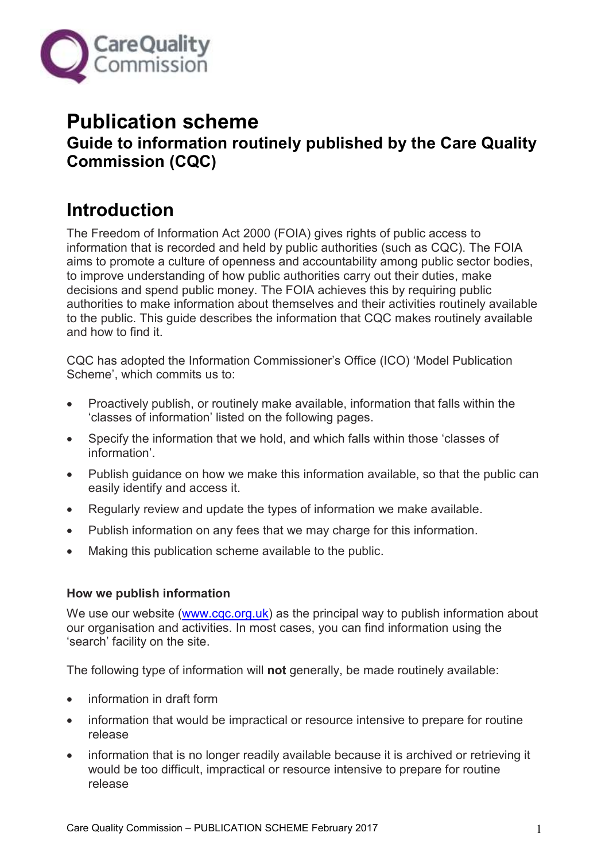

# **Publication scheme Guide to information routinely published by the Care Quality Commission (CQC)**

# **Introduction**

The Freedom of Information Act 2000 (FOIA) gives rights of public access to information that is recorded and held by public authorities (such as CQC). The FOIA aims to promote a culture of openness and accountability among public sector bodies, to improve understanding of how public authorities carry out their duties, make decisions and spend public money. The FOIA achieves this by requiring public authorities to make information about themselves and their activities routinely available to the public. This guide describes the information that CQC makes routinely available and how to find it.

CQC has adopted the Information Commissioner's Office (ICO) 'Model Publication Scheme', which commits us to:

- Proactively publish, or routinely make available, information that falls within the 'classes of information' listed on the following pages.
- Specify the information that we hold, and which falls within those 'classes of information'.
- Publish guidance on how we make this information available, so that the public can easily identify and access it.
- Regularly review and update the types of information we make available.
- Publish information on any fees that we may charge for this information.
- Making this publication scheme available to the public.

# **How we publish information**

We use our website [\(www.cqc.org.uk\)](http://www.cqc.org.uk/) as the principal way to publish information about our organisation and activities. In most cases, you can find information using the 'search' facility on the site.

The following type of information will **not** generally, be made routinely available:

- information in draft form
- information that would be impractical or resource intensive to prepare for routine release
- information that is no longer readily available because it is archived or retrieving it would be too difficult, impractical or resource intensive to prepare for routine release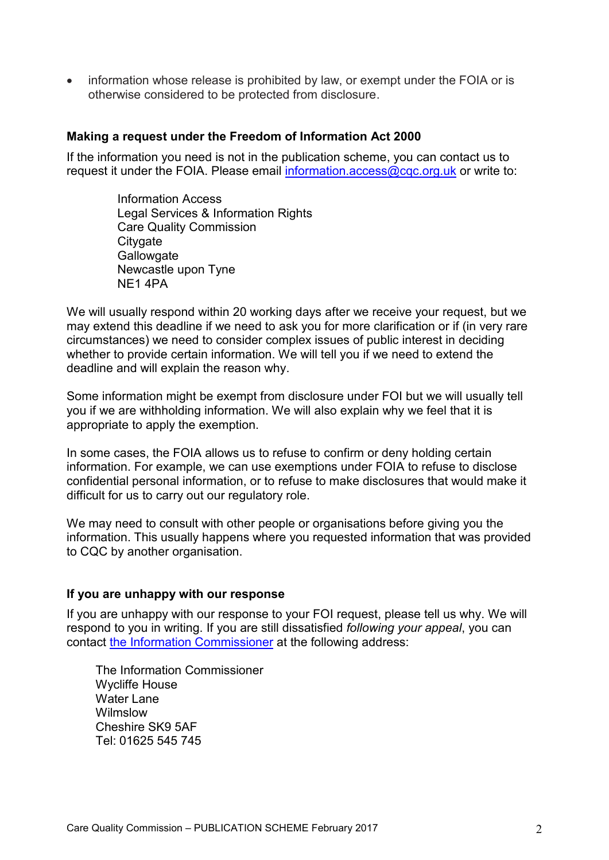• information whose release is prohibited by law, or exempt under the FOIA or is otherwise considered to be protected from disclosure.

### **Making a request under the Freedom of Information Act 2000**

If the information you need is not in the publication scheme, you can contact us to request it under the FOIA. Please email [information.access@cqc.org.uk](mailto:information.access@cqc.org.uk) or write to:

> Information Access Legal Services & Information Rights Care Quality Commission **Citygate Gallowgate** Newcastle upon Tyne NE1 4PA

We will usually respond within 20 working days after we receive your request, but we may extend this deadline if we need to ask you for more clarification or if (in very rare circumstances) we need to consider complex issues of public interest in deciding whether to provide certain information. We will tell you if we need to extend the deadline and will explain the reason why.

Some information might be exempt from disclosure under FOI but we will usually tell you if we are withholding information. We will also explain why we feel that it is appropriate to apply the exemption.

In some cases, the FOIA allows us to refuse to confirm or deny holding certain information. For example, we can use exemptions under FOIA to refuse to disclose confidential personal information, or to refuse to make disclosures that would make it difficult for us to carry out our regulatory role.

We may need to consult with other people or organisations before giving you the information. This usually happens where you requested information that was provided to CQC by another organisation.

#### **If you are unhappy with our response**

If you are unhappy with our response to your FOI request, please tell us why. We will respond to you in writing. If you are still dissatisfied *following your appeal*, you can contact [the Information Commissioner](http://www.ico.org.uk/) at the following address:

The Information Commissioner Wycliffe House Water Lane Wilmslow Cheshire SK9 5AF Tel: 01625 545 745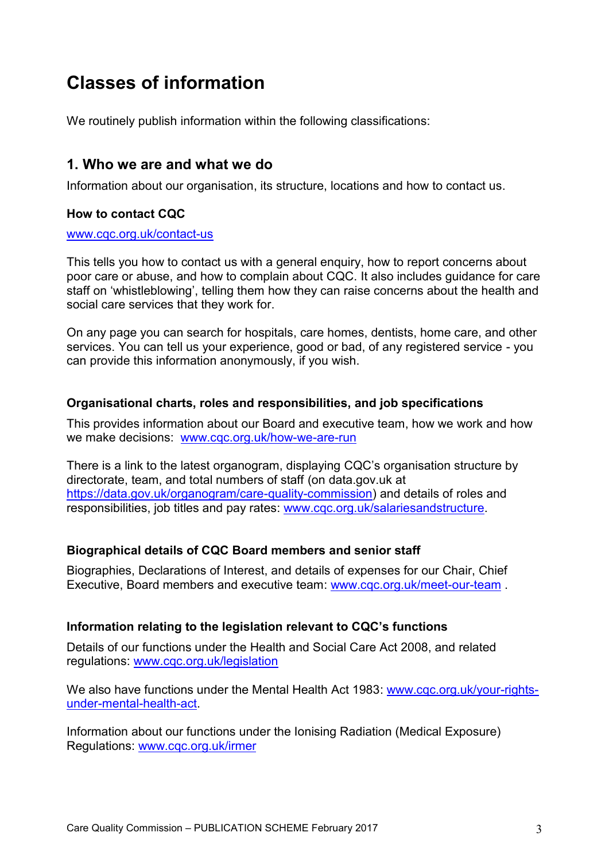# **Classes of information**

We routinely publish information within the following classifications:

# **1. Who we are and what we do**

Information about our organisation, its structure, locations and how to contact us.

# **How to contact CQC**

#### [www.cqc.org.uk/contact-us](http://www.cqc.org.uk/contact-us)

This tells you how to contact us with a general enquiry, how to report concerns about poor care or abuse, and how to complain about CQC. It also includes guidance for care staff on 'whistleblowing', telling them how they can raise concerns about the health and social care services that they work for.

On any page you can search for hospitals, care homes, dentists, home care, and other services. You can tell us your experience, good or bad, of any registered service - you can provide this information anonymously, if you wish.

# **Organisational charts, roles and responsibilities, and job specifications**

This provides information about our Board and executive team, how we work and how we make decisions: [www.cqc.org.uk/how-we-are-run](http://www.cqc.org.uk/how-we-are-run)

There is a link to the latest organogram, displaying CQC's organisation structure by directorate, team, and total numbers of staff (on data.gov.uk at [https://data.gov.uk/organogram/care-quality-commission\)](https://data.gov.uk/organogram/care-quality-commission) and details of roles and responsibilities, job titles and pay rates: [www.cqc.org.uk/salariesandstructure.](http://www.cqc.org.uk/salariesandstructure)

# **Biographical details of CQC Board members and senior staff**

Biographies, Declarations of Interest, and details of expenses for our Chair, Chief Executive, Board members and executive team: [www.cqc.org.uk/meet-our-team](http://www.cqc.org.uk/meet-our-team) .

# **Information relating to the legislation relevant to CQC's functions**

Details of our functions under the Health and Social Care Act 2008, and related regulations: [www.cqc.org.uk/legislation](http://www.cqc.org.uk/legislation) 

We also have functions under the Mental Health Act 1983: www.cgc.org.uk/your-rights[under-mental-health-act.](http://www.cqc.org.uk/your-rights-under-mental-health-act)

Information about our functions under the Ionising Radiation (Medical Exposure) Regulations: [www.cqc.org.uk/irmer](http://www.cqc.org.uk/irmer)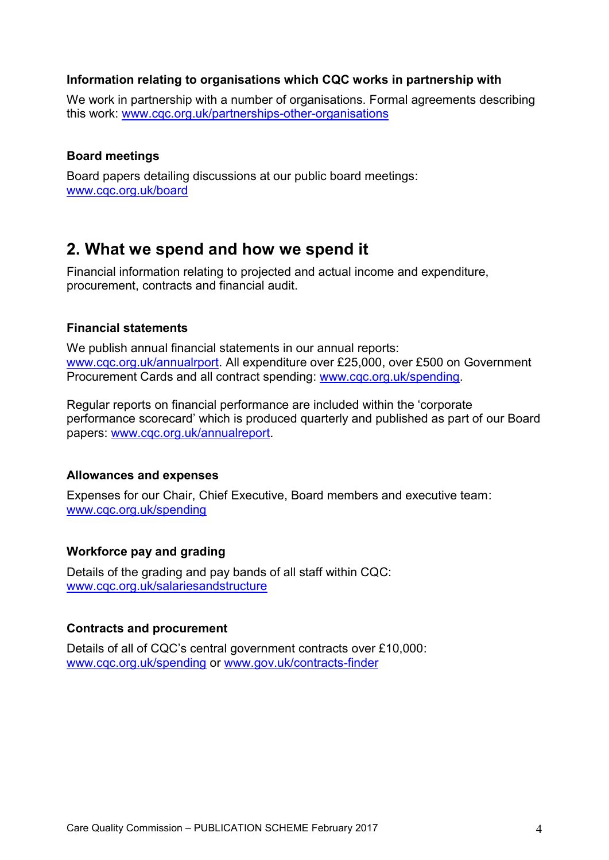# **Information relating to organisations which CQC works in partnership with**

We work in partnership with a number of organisations. Formal agreements describing this work: [www.cqc.org.uk/partnerships-other-organisations](http://www.cqc.org.uk/partnerships-other-organisations)

## **Board meetings**

Board papers detailing discussions at our public board meetings: [www.cqc.org.uk/board](http://www.cqc.org.uk/board)

# **2. What we spend and how we spend it**

Financial information relating to projected and actual income and expenditure, procurement, contracts and financial audit.

### **Financial statements**

We publish annual financial statements in our annual reports: [www.cqc.org.uk/annualrport.](http://www.cqc.org.uk/annualrport) All expenditure over £25,000, over £500 on Government Procurement Cards and all contract spending: [www.cqc.org.uk/spending.](http://www.cqc.org.uk/spending)

Regular reports on financial performance are included within the 'corporate performance scorecard' which is produced quarterly and published as part of our Board papers: [www.cqc.org.uk/annualreport.](http://www.cqc.org.uk/annualreport)

### **Allowances and expenses**

Expenses for our Chair, Chief Executive, Board members and executive team: [www.cqc.org.uk/spending](http://www.cqc.org.uk/spending)

### **Workforce pay and grading**

Details of the grading and pay bands of all staff within CQC: [www.cqc.org.uk/salariesandstructure](http://www.cqc.org.uk/salariesandstructure)

### **Contracts and procurement**

Details of all of CQC's central government contracts over £10,000: [www.cqc.org.uk/spending](http://www.cqc.org.uk/spending) or [www.gov.uk/contracts-finder](file:///C:/Users/SmithN3/AppData/Local/Microsoft/Windows/Temporary%20Internet%20Files/Content.Outlook/SSRR28C4/www.gov.uk/contracts-finder)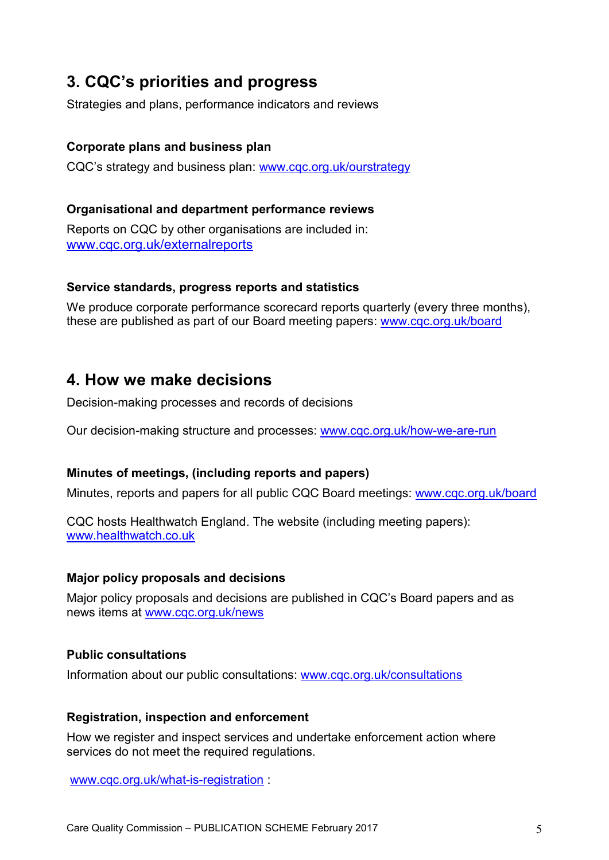# **3. CQC's priorities and progress**

Strategies and plans, performance indicators and reviews

# **Corporate plans and business plan**

CQC's strategy and business plan: [www.cqc.org.uk/ourstrategy](http://www.cqc.org.uk/ourstrategy)

# **Organisational and department performance reviews**

Reports on CQC by other organisations are included in: [www.cqc.org.uk/externalreports](http://www.cqc.org.uk/externalreports)

# **Service standards, progress reports and statistics**

We produce corporate performance scorecard reports quarterly (every three months), these are published as part of our Board meeting papers: [www.cqc.org.uk/board](http://www.cqc.org.uk/board)

# **4. How we make decisions**

Decision-making processes and records of decisions

Our decision-making structure and processes: [www.cqc.org.uk/how-we-are-run](http://www.cqc.org.uk/how-we-are-run)

# **Minutes of meetings, (including reports and papers)**

Minutes, reports and papers for all public CQC Board meetings: [www.cqc.org.uk/board](http://www.cqc.org.uk/board)

CQC hosts Healthwatch England. The website (including meeting papers): [www.healthwatch.co.uk](http://www.healthwatch.co.uk/)

# **Major policy proposals and decisions**

Major policy proposals and decisions are published in CQC's Board papers and as news items at [www.cqc.org.uk/news](http://www.cqc.org.uk/news)

# **Public consultations**

Information about our public consultations: [www.cqc.org.uk/consultations](http://www.cqc.org.uk/consultations) 

### **Registration, inspection and enforcement**

How we register and inspect services and undertake enforcement action where services do not meet the required regulations.

[www.cqc.org.uk/what-is-registration](http://www.cqc.org.uk/what-is-registration) :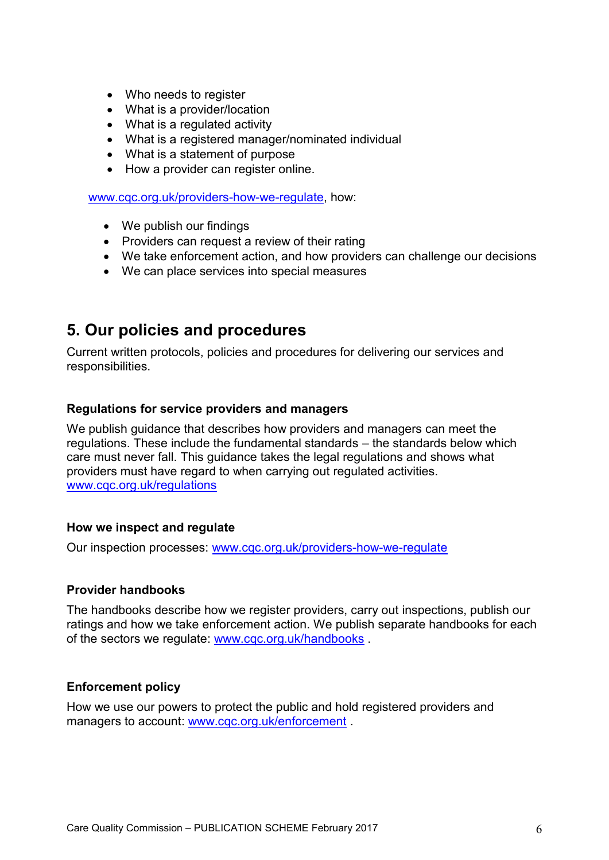- Who needs to register
- What is a provider/location
- What is a regulated activity
- What is a registered manager/nominated individual
- What is a statement of purpose
- How a provider can register online.

[www.cqc.org.uk/providers-how-we-regulate,](http://www.cqc.org.uk/providers-how-we-regulate) how:

- We publish our findings
- Providers can request a review of their rating
- We take enforcement action, and how providers can challenge our decisions
- We can place services into special measures

# **5. Our policies and procedures**

Current written protocols, policies and procedures for delivering our services and responsibilities.

#### **Regulations for service providers and managers**

We publish guidance that describes how providers and managers can meet the regulations. These include the fundamental standards – the standards below which care must never fall. This guidance takes the legal regulations and shows what providers must have regard to when carrying out regulated activities. [www.cqc.org.uk/regulations](http://www.cqc.org.uk/regulations)

### **How we inspect and regulate**

Our inspection processes: [www.cqc.org.uk/providers-how-we-regulate](http://www.cqc.org.uk/providers-how-we-regulate)

#### **Provider handbooks**

The handbooks describe how we register providers, carry out inspections, publish our ratings and how we take enforcement action. We publish separate handbooks for each of the sectors we regulate: [www.cqc.org.uk/handbooks](http://www.cqc.org.uk/handbooks) .

### **Enforcement policy**

How we use our powers to protect the public and hold registered providers and managers to account: [www.cqc.org.uk/enforcement](http://www.cqc.org.uk/enforcement) .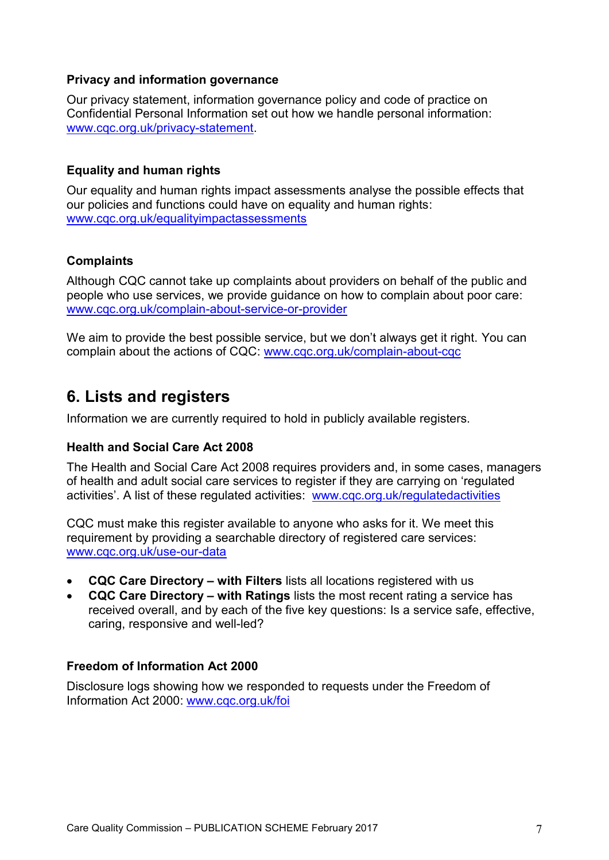# **Privacy and information governance**

Our privacy statement, information governance policy and code of practice on Confidential Personal Information set out how we handle personal information: [www.cqc.org.uk/privacy-statement.](http://www.cqc.org.uk/privacy-statement)

# **Equality and human rights**

Our equality and human rights impact assessments analyse the possible effects that our policies and functions could have on equality and human rights: [www.cqc.org.uk/equalityimpactassessments](http://www.cqc.org.uk/equalityimpactassessments)

# **Complaints**

Although CQC cannot take up complaints about providers on behalf of the public and people who use services, we provide guidance on how to complain about poor care: [www.cqc.org.uk/complain-about-service-or-provider](http://www.cqc.org.uk/complain-about-service-or-provider)

We aim to provide the best possible service, but we don't always get it right. You can complain about the actions of CQC: [www.cqc.org.uk/complain-about-cqc](http://www.cqc.org.uk/complain-about-cqc) 

# **6. Lists and registers**

Information we are currently required to hold in publicly available registers.

### **Health and Social Care Act 2008**

The Health and Social Care Act 2008 requires providers and, in some cases, managers of health and adult social care services to register if they are carrying on 'regulated activities'. A list of these regulated activities: [www.cqc.org.uk/regulatedactivities](http://www.cqc.org.uk/regulatedactivities)

CQC must make this register available to anyone who asks for it. We meet this requirement by providing a searchable directory of registered care services: [www.cqc.org.uk/use-our-data](http://www.cqc.org.uk/use-our-data)

- **CQC Care Directory – with Filters** lists all locations registered with us
- **CQC Care Directory – with Ratings** lists the most recent rating a service has received overall, and by each of the five key questions: Is a service safe, effective, caring, responsive and well-led?

### **Freedom of Information Act 2000**

Disclosure logs showing how we responded to requests under the Freedom of Information Act 2000: [www.cqc.org.uk/foi](http://www.cqc.org.uk/foi)